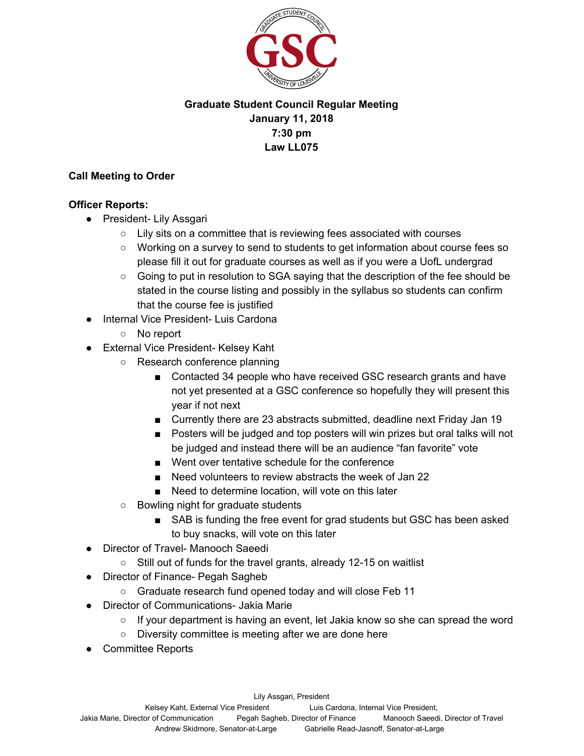

# **Graduate Student Council Regular Meeting January 11, 2018 7:30 pm Law LL075**

## **Call Meeting to Order**

### **Officer Reports:**

- President- Lily Assgari
	- Lily sits on a committee that is reviewing fees associated with courses
	- Working on a survey to send to students to get information about course fees so please fill it out for graduate courses as well as if you were a UofL undergrad
	- Going to put in resolution to SGA saying that the description of the fee should be stated in the course listing and possibly in the syllabus so students can confirm that the course fee is justified
- **Internal Vice President- Luis Cardona** 
	- No report
- External Vice President- Kelsey Kaht
	- Research conference planning
		- Contacted 34 people who have received GSC research grants and have not yet presented at a GSC conference so hopefully they will present this year if not next
		- Currently there are 23 abstracts submitted, deadline next Friday Jan 19
		- Posters will be judged and top posters will win prizes but oral talks will not be judged and instead there will be an audience "fan favorite" vote
		- Went over tentative schedule for the conference
		- Need volunteers to review abstracts the week of Jan 22
		- Need to determine location, will vote on this later
	- Bowling night for graduate students
		- SAB is funding the free event for grad students but GSC has been asked to buy snacks, will vote on this later
- **Director of Travel- Manooch Saeedi** 
	- Still out of funds for the travel grants, already 12-15 on waitlist
- Director of Finance- Pegah Sagheb
	- Graduate research fund opened today and will close Feb 11
- Director of Communications- Jakia Marie
	- $\circ$  If your department is having an event, let Jakia know so she can spread the word
	- Diversity committee is meeting after we are done here
- **Committee Reports**